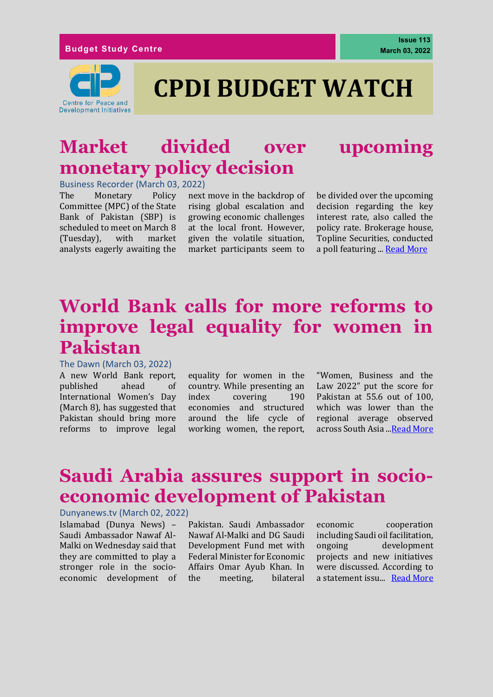

# **CPDI BUDGET WATCH**

### **Market divided over upcoming monetary policy decision**

Business Recorder (March 03, 2022)

The Monetary Policy Committee (MPC) of the State Bank of Pakistan (SBP) is scheduled to meet on March 8 (Tuesday), with market analysts eagerly awaiting the

next move in the backdrop of rising global escalation and growing economic challenges at the local front. However, given the volatile situation, market participants seem to be divided over the upcoming decision regarding the key interest rate, also called the policy rate. Brokerage house, Topline Securities, conducted a poll featuring ... [Read More](https://www.brecorder.com/news/40158382)

### **World Bank calls for more reforms to improve legal equality for women in Pakistan**

#### The Dawn (March 03, 2022)

A new World Bank report, published ahead of International Women's Day (March 8), has suggested that Pakistan should bring more reforms to improve legal

equality for women in the country. While presenting an index covering 190 economies and structured around the life cycle of working women, the [report,](https://openknowledge.worldbank.org/bitstream/handle/10986/36945/9781464818172.pdf)

"Women, Business and the Law 2022" put the score for Pakistan at 55.6 out of 100, which was lower than the regional average observed across South Asia ... Read More

### **Saudi Arabia assures support in socioeconomic development of Pakistan**

#### Dunyanews.tv (March 02, 2022)

Islamabad (Dunya News) – Saudi Ambassador Nawaf Al-Malki on Wednesday said that they are committed to play a stronger role in the socioeconomic development of

Pakistan. Saudi Ambassador Nawaf Al-Malki and DG Saudi Development Fund met with Federal Minister for Economic Affairs Omar Ayub Khan. In the meeting, bilateral economic cooperation including Saudi oil facilitation, ongoing development projects and new initiatives were discussed. According to a statement issu... [Read More](https://dunyanews.tv/en/Pakistan/643726-Saudi-Arabia-assures-support-in-socio-economic-development-of-Pakistan)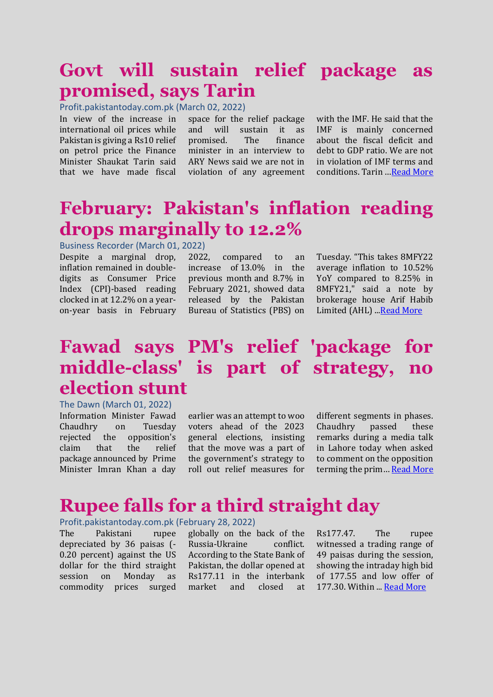### **Govt will sustain relief package as promised, says Tarin**

Profit.pakistantoday.com.pk (March 02, 2022)

In view of the increase in international oil prices while Pakistan is giving a Rs10 relief on petrol price the Finance Minister Shaukat Tarin said that we have made fiscal space for the relief package and will sustain it as promised. The finance minister in an interview to ARY News said we are not in violation of any agreement with the IMF. He said that the IMF is mainly concerned about the fiscal deficit and debt to GDP ratio. We are not in violation of IMF terms and conditions. Tarin …[Read More](https://profit.pakistantoday.com.pk/2022/03/02/govt-will-sustain-relief-package-as-promised-says-tarin/)

### **February: Pakistan's inflation reading drops marginally to 12.2%**

Business Recorder (March 01, 2022)

Despite a marginal drop, inflation remained in doubledigits as Consumer Price Index (CPI)-based reading clocked in at 12.2% on a yearon-year basis in February

2022, compared to an increase of [13.0% in the](https://www.brecorder.com/news/40151310)  [previous month](https://www.brecorder.com/news/40151310) and 8.7% in February 2021, showed data released by the Pakistan Bureau of Statistics (PBS) on Tuesday. "This takes 8MFY22 average inflation to 10.52% YoY compared to 8.25% in 8MFY21," said a note by brokerage house Arif Habib Limited (AHL) ... Read More

### **Fawad says PM's relief 'package for middle-class' is part of strategy, no election stunt**

The Dawn (March 01, 2022)

Information Minister Fawad Chaudhry on Tuesday rejected the opposition's claim that the relief package [announced](https://www.dawn.com/news/1677617) by Prime Minister Imran Khan a day

earlier was an attempt to woo voters ahead of the 2023 general elections, insisting that the move was a part of the government's strategy to roll out relief measures for different segments in phases. Chaudhry passed these remarks during a media talk in Lahore today when asked to comment on the opposition terming the prim… [Read More](https://www.dawn.com/news/1677709)

### **Rupee falls for a third straight day**

#### Profit.pakistantoday.com.pk (February 28, 2022)

The Pakistani rupee depreciated by 36 paisas (- 0.20 percent) against the US dollar for the third straight session on Monday as commodity prices surged

globally on the back of the Russia-Ukraine conflict. According to the State Bank of Pakistan, the dollar opened at Rs177.11 in the interbank market and closed at

Rs177.47. The rupee witnessed a trading range of 49 paisas during the session, showing the intraday high bid of 177.55 and low offer of 177.30. Within ... [Read More](https://profit.pakistantoday.com.pk/2022/02/28/rupee-falls-for-a-third-straight-day/)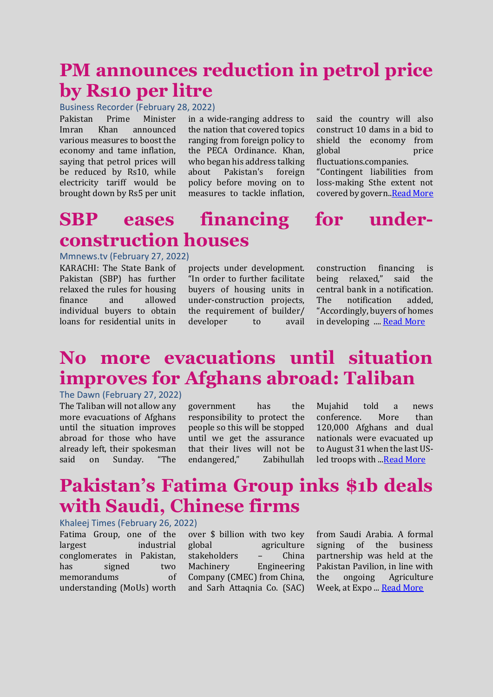### **PM announces reduction in petrol price by Rs10 per litre**

Business Recorder (February 28, 2022)

Pakistan Prime Minister Imran Khan announced various measures to boost the economy and tame inflation, saying that petrol prices will be reduced by Rs10, while electricity tariff would be brought down by Rs5 per unit

in a wide-ranging address to the nation that covered topics ranging from foreign policy to the PECA Ordinance. Khan, who began his address talking about Pakistan's foreign policy before moving on to measures to tackle inflation, said the country will also construct 10 dams in a bid to shield the economy from global price fluctuations.companies.

"Contingent liabilities from loss-making Sthe extent not covered by govern.[.Read More](https://www.dawn.com/news/1674955)

### **SBP eases financing for underconstruction houses**

Mmnews.tv (February 27, 2022)

KARACHI: The State Bank of Pakistan (SBP) has further relaxed the rules for housing finance and allowed individual buyers to obtain loans for residential units in

projects under development. "In order to further facilitate buyers of housing units in under-construction projects, the requirement of builder/ developer to avail

construction financing is being relaxed," said the central bank in a notification. The notification added, "Accordingly, buyers of homes in developing .... [Read More](https://mmnews.tv/sbp-eases-financing-for-under-construction-houses/)

## **No more evacuations until situation improves for Afghans abroad: Taliban**

#### The Dawn (February 27, 2022)

The Taliban will not allow any more evacuations of Afghans until the situation improves abroad for those who have already left, their spokesman said on Sunday. "The government has the responsibility to protect the people so this will be stopped until we get the assurance that their lives will not be endangered," Zabihullah Mujahid told a news conference. More than 120,000 Afghans and dual nationals were evacuated up to August 31 when the last US-led troops with .[..Read More](https://www.dawn.com/news/1677375)

### **Pakistan's Fatima Group inks \$1b deals with Saudi, Chinese firms**

#### Khaleej Times (February 26, 2022)

Fatima Group, one of the largest industrial conglomerates in Pakistan, has signed two memorandums of understanding (MoUs) worth

over \$ billion with two key global agriculture stakeholders – China Machinery Engineering Company (CMEC) from China, and Sarh Attaqnia Co. (SAC) from Saudi Arabia. A formal signing of the business partnership was held at the Pakistan Pavilion, in line with the ongoing Agriculture Week, at Expo ... [Read More](https://www.khaleejtimes.com/business/pakistans-fatima-group-inks-1b-deals-with-saudi-chinese-firms)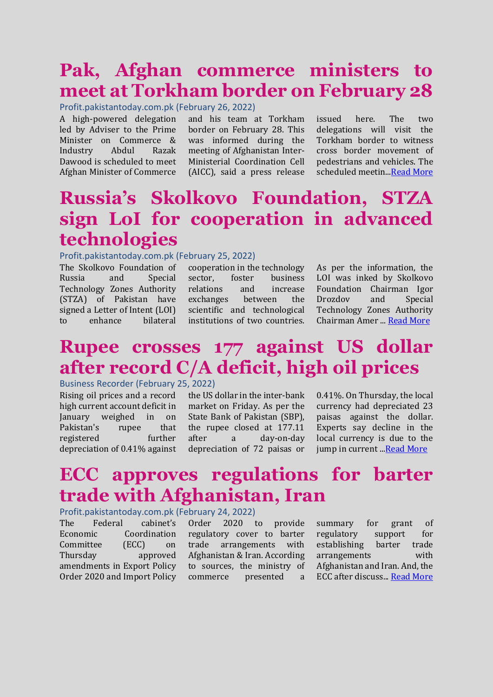### **Pak, Afghan commerce ministers to meet at Torkham border on February 28**

Profit.pakistantoday.com.pk (February 26, 2022)

A high-powered delegation led by Adviser to the Prime Minister on Commerce & Industry Abdul Razak Dawood is scheduled to meet Afghan Minister of Commerce

and his team at Torkham border on February 28. This was informed during the meeting of Afghanistan Inter-Ministerial Coordination Cell (AICC), said a press release

issued here. The two delegations will visit the Torkham border to witness cross border movement of pedestrians and vehicles. The scheduled meetin.[..Read More](https://profit.pakistantoday.com.pk/2022/02/26/pak-afghan-commerce-ministers-to-meet-at-torkham-border-on-february-28/)

### **Russia's Skolkovo Foundation, STZA sign LoI for cooperation in advanced technologies**

#### Profit.pakistantoday.com.pk (February 25, 2022)

The Skolkovo Foundation of Russia and Special Technology Zones Authority (STZA) of Pakistan have signed a Letter of Intent (LOI) to enhance bilateral

cooperation in the technology sector. foster business relations and increase exchanges between the scientific and technological institutions of two countries. As per the information, the LOI was inked by Skolkovo Foundation Chairman Igor Drozdov and Special Technology Zones Authority Chairman Amer ... [Read More](https://profit.pakistantoday.com.pk/2022/02/25/russias-skolkovo-foundation-stza-sign-loi-for-cooperation-in-advanced-technologies/)

### **Rupee crosses 177 against US dollar after record C/A deficit, high oil prices**

#### Business Recorder (February 25, 2022)

Rising oil prices and a record high current account deficit in January weighed in on Pakistan's rupee that registered further depreciation of 0.41% against

the US dollar in the inter-bank market on Friday. As per the State Bank of Pakistan (SBP), the rupee closed at 177.11 after a day-on-day depreciation of 72 paisas or

0.41%. On Thursday, the local currency had depreciated 23 paisas against the dollar. Experts say decline in the local currency is due to the jump in current .[..Read More](https://www.brecorder.com/news/40157131)

### **ECC approves regulations for barter trade with Afghanistan, Iran**

#### Profit.pakistantoday.com.pk (February 24, 2022)

The Federal cabinet's Economic Coordination Committee (ECC) on Thursday approved amendments in Export Policy Order 2020 and Import Policy

Order 2020 to provide regulatory cover to barter trade arrangements with Afghanistan & Iran. According to sources, the ministry of commerce presented a summary for grant of regulatory support for establishing barter trade arrangements with Afghanistan and Iran. And, the ECC after discuss... [Read More](https://profit.pakistantoday.com.pk/2022/02/24/ecc-approves-regulations-for-barter-trade-with-afghanistan-iran/)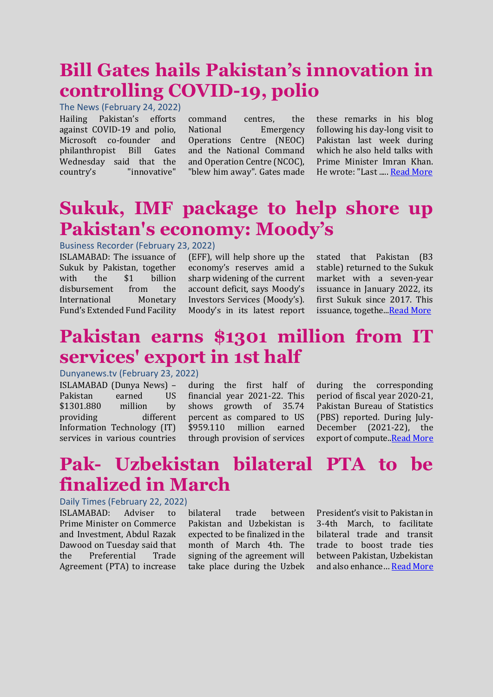### **Bill Gates hails Pakistan's innovation in controlling COVID-19, polio**

The News (February 24, 2022) Hailing Pakistan's efforts against COVID-19 and polio, Microsoft co-founder and philanthropist Bill Gates Wednesday said that the country's "innovative"

command centres, the National Emergency Operations Centre (NEOC) and the National Command and Operation Centre (NCOC), "blew him away". Gates made

these remarks in his blog following his day-long visit to Pakistan last week during which he also held talks with Prime Minister Imran Khan. He wrote: "Last ....[. Read More](https://www.thenews.com.pk/latest/936400-bill-gates-hails-pakistans-innovation-in-controlling-covid-19-polio)

### **Sukuk, IMF package to help shore up Pakistan's economy: Moody's**

#### Business Recorder (February 23, 2022)

ISLAMABAD: The issuance of Sukuk by Pakistan, together with the \$1 billion disbursement from the International Monetary Fund's Extended Fund Facility (EFF), will help shore up the economy's reserves amid a sharp widening of the current account deficit, says Moody's Investors Services (Moody's). Moody's in its latest report

stated that Pakistan (B3 stable) returned to the Sukuk market with a seven-year issuance in January 2022, its first Sukuk since 2017. This issuance, togethe..[.Read More](https://www.brecorder.com/news/40156462/sukuk-imf-package-to-help-shore-up-pakistans-economy-moodys)

### **Pakistan earns \$1301 million from IT services' export in 1st half**

Dunyanews.tv (February 23, 2022)

ISLAMABAD (Dunya News) – Pakistan earned US \$1301.880 million by providing different Information Technology (IT) services in various countries

during the first half of financial year 2021-22. This shows growth of 35.74 percent as compared to US \$959.110 million earned through provision of services

during the corresponding period of fiscal year 2020-21, Pakistan Bureau of Statistics (PBS) reported. During July-December (2021-22), the export of compute. Read More

### **Pak- Uzbekistan bilateral PTA to be finalized in March**

#### Daily Times (February 22, 2022)

ISLAMABAD: Adviser to Prime Minister on Commerce and Investment, Abdul Razak Dawood on Tuesday said that the Preferential Trade Agreement (PTA) to increase

bilateral trade between Pakistan and Uzbekistan is expected to be finalized in the month of March 4th. The signing of the agreement will take place during the Uzbek

President's visit to Pakistan in 3-4th March, to facilitate bilateral trade and transit trade to boost trade ties between Pakistan, Uzbekistan and also enhance… [Read More](https://dailytimes.com.pk/890004/pak-uzbekistan-bilateral-pta-to-be-finalized-in-march/)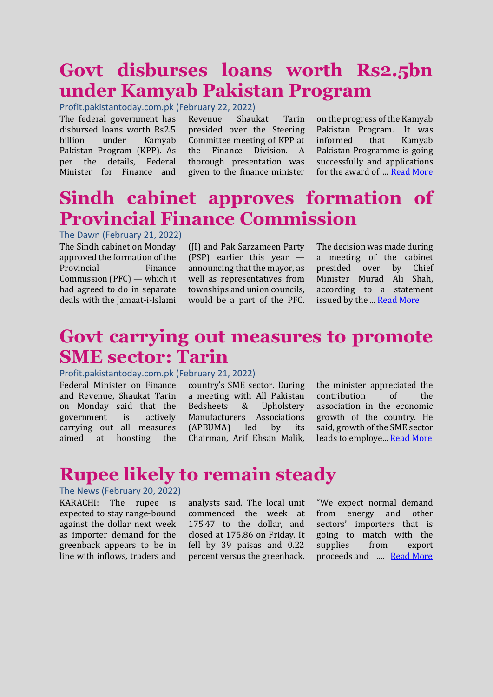### **Govt disburses loans worth Rs2.5bn under Kamyab Pakistan Program**

Profit.pakistantoday.com.pk (February 22, 2022)

The federal government has disbursed loans worth Rs2.5 billion under Kamyab Pakistan Program (KPP). As per the details, Federal Minister for Finance and

Revenue Shaukat Tarin presided over the Steering Committee meeting of KPP at the Finance Division. A thorough presentation was given to the finance minister on the progress of the Kamyab Pakistan Program. It was informed that Kamyab Pakistan Programme is going successfully and applications for the award of ... [Read More](https://profit.pakistantoday.com.pk/2022/02/22/govt-disburses-loans-worth-rs2-5bn-under-kamyab-pakistan-program/)

### **Sindh cabinet approves formation of Provincial Finance Commission**

#### The Dawn (February 21, 2022)

The Sindh cabinet on Monday approved the formation of the Provincial Finance Commission (PFC) — which it had agreed to do in separate deals with the Jamaat-i-Islami

(JI) and Pak Sarzameen Party (PSP) earlier this year announcing that the mayor, as well as representatives from townships and union councils, would be a part of the PFC. The decision was made during a meeting of the cabinet presided over by Chief Minister Murad Ali Shah, according to a statement issued by the ... [Read More](https://www.dawn.com/news/1676296)

### **Govt carrying out measures to promote SME sector: Tarin**

#### Profit.pakistantoday.com.pk (February 21, 2022)

Federal Minister on Finance and Revenue, Shaukat Tarin on Monday said that the government is actively carrying out all measures aimed at boosting the

country's SME sector. During a meeting with All Pakistan Bedsheets & Upholstery Manufacturers Associations (APBUMA) led by its Chairman, Arif Ehsan Malik,

the minister appreciated the contribution of the association in the economic growth of the country. He said, growth of the SME sector leads to employe... [Read More](https://profit.pakistantoday.com.pk/2022/02/21/govt-carrying-out-measures-to-promote-sme-sector-tarin/)

### **Rupee likely to remain steady**

#### The News (February 20, 2022) KARACHI: The rupee is expected to stay range-bound against the dollar next week as importer demand for the greenback appears to be in line with inflows, traders and

analysts said. The local unit commenced the week at 175.47 to the dollar, and closed at 175.86 on Friday. It fell by 39 paisas and 0.22 percent versus the greenback. "We expect normal demand from energy and other sectors' importers that is going to match with the supplies from export proceeds and .... [Read More](https://www.thenews.com.pk/print/935067-rupee-likely-to-remain-steady#:~:text=KARACHI%3A%20The%20rupee%20is%20expected,closed%20at%20175.86%20on%20Friday.)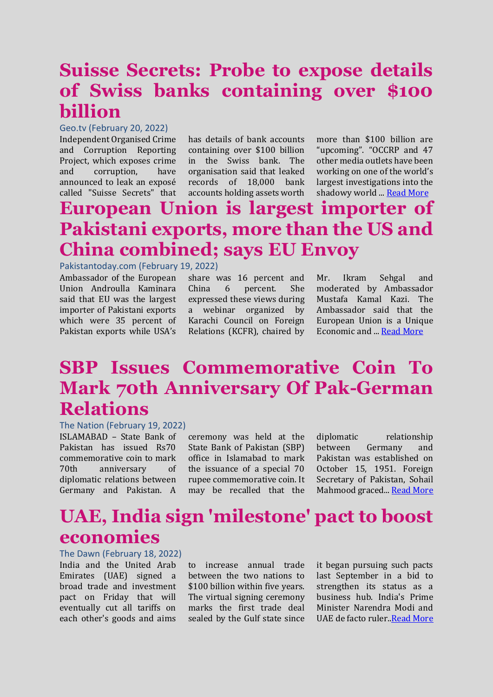### **Suisse Secrets: Probe to expose details of Swiss banks containing over \$100 billion**

#### Geo.tv (February 20, 2022)

Independent Organised Crime and Corruption Reporting Project, which exposes crime and corruption, have announced to leak an exposé called "Suisse Secrets" that has details of bank accounts containing over \$100 billion in the Swiss bank. The organisation said that leaked records of 18,000 bank accounts holding assets worth

more than \$100 billion are "upcoming". "OCCRP and 47 other media outlets have been working on one of the world's largest investigations into the shadowy world ... [Read More](https://www.geo.tv/latest/400463-suisse-secrets-leak-to-expos%C3%A9-details-of-swiss-banks-containing-over-100-billion)

### **European Union is largest importer of Pakistani exports, more than the US and China combined; says EU Envoy**

#### Pakistantoday.com (February 19, 2022)

Ambassador of the European Union Androulla Kaminara said that EU was the largest importer of Pakistani exports which were 35 percent of Pakistan exports while USA's share was 16 percent and China 6 percent. She expressed these views during a webinar organized by Karachi Council on Foreign Relations (KCFR), chaired by

Mr. Ikram Sehgal and moderated by Ambassador Mustafa Kamal Kazi. The Ambassador said that the European Union is a Unique Economic and ... [Read More](https://www.pakistantoday.com.pk/2022/02/19/european-union-is-largest-importer-of-pakistani-exports-more-than-the-us-and-china-combined-says-eu-envoy/)

### **SBP Issues Commemorative Coin To Mark 70th Anniversary Of Pak-German Relations**

#### The Nation (February 19, 2022)

ISLAMABAD – State Bank of Pakistan has issued Rs70 commemorative coin to mark 70th anniversary of diplomatic relations between Germany and Pakistan. A

ceremony was held at the State Bank of Pakistan (SBP) office in Islamabad to mark the issuance of a special 70 rupee commemorative coin. It may be recalled that the diplomatic relationship between Germany and Pakistan was established on October 15, 1951. Foreign Secretary of Pakistan, Sohail Mahmood graced... [Read More](https://nation.com.pk/2022/02/19/sbp-issues-commemorative-coin-to-mark-70th-anniversary-of-pak-german-relations/)

### **UAE, India sign 'milestone' pact to boost economies**

#### The Dawn (February 18, 2022)

India and the United Arab Emirates (UAE) signed a broad trade and investment pact on Friday that will eventually cut all tariffs on each other's goods and aims

to increase annual trade between the two nations to \$100 billion within five years. The virtual signing ceremony marks the first trade deal sealed by the Gulf state since

it began pursuing such pacts last September in a bid to strengthen its status as a business hub. India's Prime Minister Narendra Modi and UAE de facto ruler[..Read More](https://www.dawn.com/news/1675767)